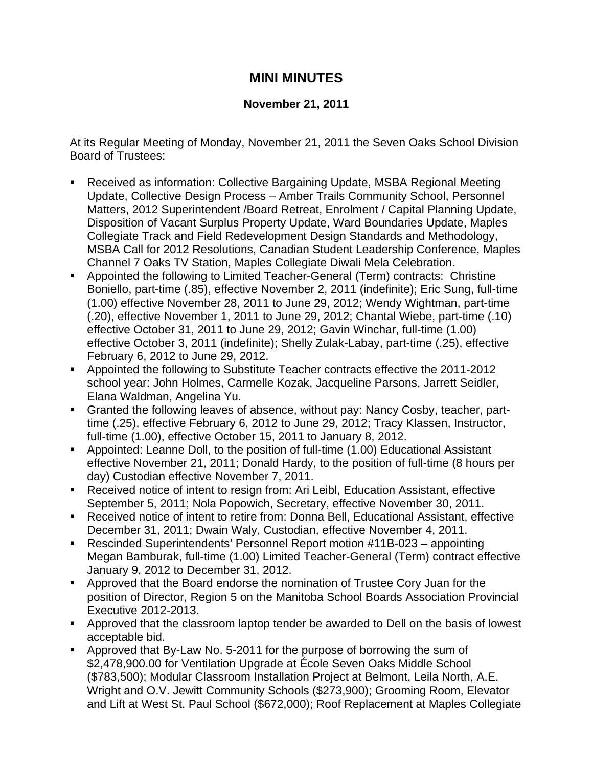## **MINI MINUTES**

## **November 21, 2011**

At its Regular Meeting of Monday, November 21, 2011 the Seven Oaks School Division Board of Trustees:

- Received as information: Collective Bargaining Update, MSBA Regional Meeting Update, Collective Design Process – Amber Trails Community School, Personnel Matters, 2012 Superintendent /Board Retreat, Enrolment / Capital Planning Update, Disposition of Vacant Surplus Property Update, Ward Boundaries Update, Maples Collegiate Track and Field Redevelopment Design Standards and Methodology, MSBA Call for 2012 Resolutions, Canadian Student Leadership Conference, Maples Channel 7 Oaks TV Station, Maples Collegiate Diwali Mela Celebration.
- Appointed the following to Limited Teacher-General (Term) contracts: Christine Boniello, part-time (.85), effective November 2, 2011 (indefinite); Eric Sung, full-time (1.00) effective November 28, 2011 to June 29, 2012; Wendy Wightman, part-time (.20), effective November 1, 2011 to June 29, 2012; Chantal Wiebe, part-time (.10) effective October 31, 2011 to June 29, 2012; Gavin Winchar, full-time (1.00) effective October 3, 2011 (indefinite); Shelly Zulak-Labay, part-time (.25), effective February 6, 2012 to June 29, 2012.
- Appointed the following to Substitute Teacher contracts effective the 2011-2012 school year: John Holmes, Carmelle Kozak, Jacqueline Parsons, Jarrett Seidler, Elana Waldman, Angelina Yu.
- Granted the following leaves of absence, without pay: Nancy Cosby, teacher, parttime (.25), effective February 6, 2012 to June 29, 2012; Tracy Klassen, Instructor, full-time (1.00), effective October 15, 2011 to January 8, 2012.
- Appointed: Leanne Doll, to the position of full-time (1.00) Educational Assistant effective November 21, 2011; Donald Hardy, to the position of full-time (8 hours per day) Custodian effective November 7, 2011.
- Received notice of intent to resign from: Ari Leibl, Education Assistant, effective September 5, 2011; Nola Popowich, Secretary, effective November 30, 2011.
- Received notice of intent to retire from: Donna Bell, Educational Assistant, effective December 31, 2011; Dwain Waly, Custodian, effective November 4, 2011.
- Rescinded Superintendents' Personnel Report motion #11B-023 appointing Megan Bamburak, full-time (1.00) Limited Teacher-General (Term) contract effective January 9, 2012 to December 31, 2012.
- Approved that the Board endorse the nomination of Trustee Cory Juan for the position of Director, Region 5 on the Manitoba School Boards Association Provincial Executive 2012-2013.
- Approved that the classroom laptop tender be awarded to Dell on the basis of lowest acceptable bid.
- Approved that By-Law No. 5-2011 for the purpose of borrowing the sum of \$2,478,900.00 for Ventilation Upgrade at École Seven Oaks Middle School (\$783,500); Modular Classroom Installation Project at Belmont, Leila North, A.E. Wright and O.V. Jewitt Community Schools (\$273,900); Grooming Room, Elevator and Lift at West St. Paul School (\$672,000); Roof Replacement at Maples Collegiate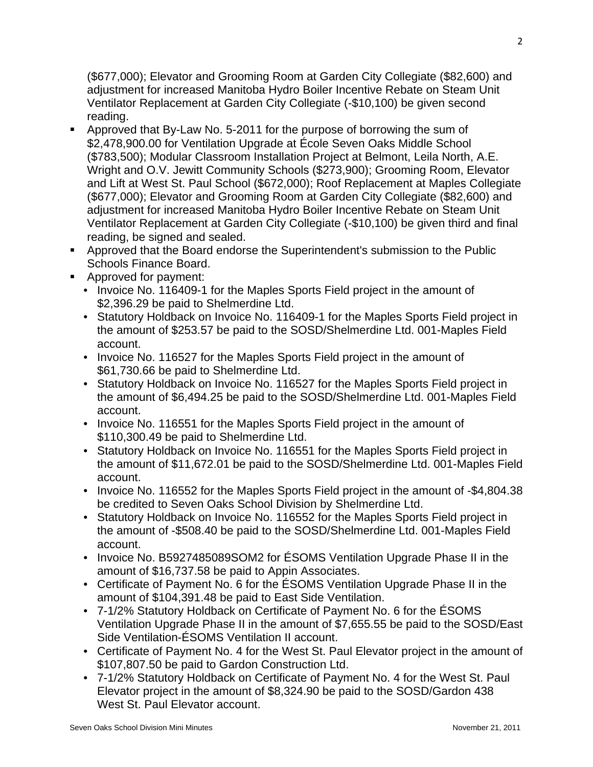(\$677,000); Elevator and Grooming Room at Garden City Collegiate (\$82,600) and adjustment for increased Manitoba Hydro Boiler Incentive Rebate on Steam Unit Ventilator Replacement at Garden City Collegiate (-\$10,100) be given second reading.

- Approved that By-Law No. 5-2011 for the purpose of borrowing the sum of \$2,478,900.00 for Ventilation Upgrade at École Seven Oaks Middle School (\$783,500); Modular Classroom Installation Project at Belmont, Leila North, A.E. Wright and O.V. Jewitt Community Schools (\$273,900); Grooming Room, Elevator and Lift at West St. Paul School (\$672,000); Roof Replacement at Maples Collegiate (\$677,000); Elevator and Grooming Room at Garden City Collegiate (\$82,600) and adjustment for increased Manitoba Hydro Boiler Incentive Rebate on Steam Unit Ventilator Replacement at Garden City Collegiate (-\$10,100) be given third and final reading, be signed and sealed.
- Approved that the Board endorse the Superintendent's submission to the Public Schools Finance Board.
- **Approved for payment:** 
	- Invoice No. 116409-1 for the Maples Sports Field project in the amount of \$2,396.29 be paid to Shelmerdine Ltd.
	- Statutory Holdback on Invoice No. 116409-1 for the Maples Sports Field project in the amount of \$253.57 be paid to the SOSD/Shelmerdine Ltd. 001-Maples Field account.
	- Invoice No. 116527 for the Maples Sports Field project in the amount of \$61,730.66 be paid to Shelmerdine Ltd.
	- Statutory Holdback on Invoice No. 116527 for the Maples Sports Field project in the amount of \$6,494.25 be paid to the SOSD/Shelmerdine Ltd. 001-Maples Field account.
	- Invoice No. 116551 for the Maples Sports Field project in the amount of \$110,300.49 be paid to Shelmerdine Ltd.
	- Statutory Holdback on Invoice No. 116551 for the Maples Sports Field project in the amount of \$11,672.01 be paid to the SOSD/Shelmerdine Ltd. 001-Maples Field account.
	- Invoice No. 116552 for the Maples Sports Field project in the amount of -\$4,804.38 be credited to Seven Oaks School Division by Shelmerdine Ltd.
	- Statutory Holdback on Invoice No. 116552 for the Maples Sports Field project in the amount of -\$508.40 be paid to the SOSD/Shelmerdine Ltd. 001-Maples Field account.
	- Invoice No. B5927485089SOM2 for ESOMS Ventilation Upgrade Phase II in the amount of \$16,737.58 be paid to Appin Associates.
	- Certificate of Payment No. 6 for the ÉSOMS Ventilation Upgrade Phase II in the amount of \$104,391.48 be paid to East Side Ventilation.
	- 7-1/2% Statutory Holdback on Certificate of Payment No. 6 for the ÉSOMS Ventilation Upgrade Phase II in the amount of \$7,655.55 be paid to the SOSD/East Side Ventilation-ÉSOMS Ventilation II account.
	- Certificate of Payment No. 4 for the West St. Paul Elevator project in the amount of \$107,807.50 be paid to Gardon Construction Ltd.
	- 7-1/2% Statutory Holdback on Certificate of Payment No. 4 for the West St. Paul Elevator project in the amount of \$8,324.90 be paid to the SOSD/Gardon 438 West St. Paul Elevator account.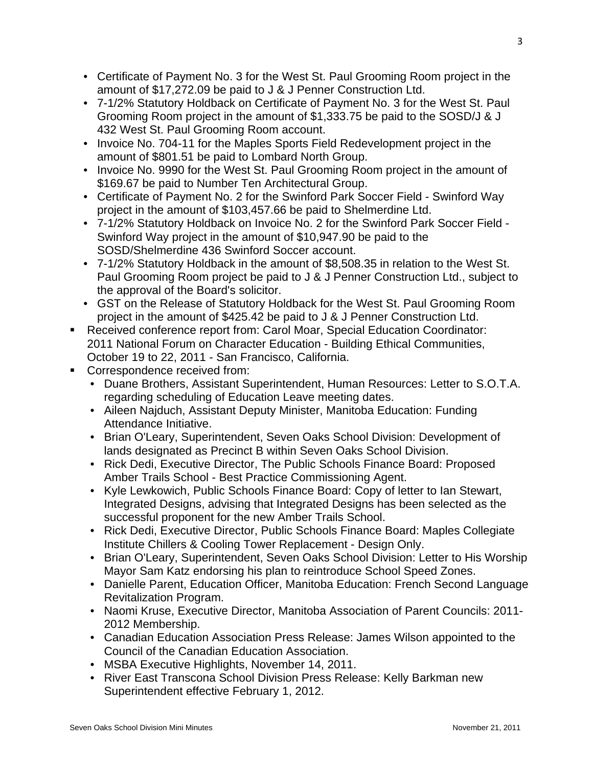- Certificate of Payment No. 3 for the West St. Paul Grooming Room project in the amount of \$17,272.09 be paid to J & J Penner Construction Ltd.
- 7-1/2% Statutory Holdback on Certificate of Payment No. 3 for the West St. Paul Grooming Room project in the amount of \$1,333.75 be paid to the SOSD/J & J 432 West St. Paul Grooming Room account.
- Invoice No. 704-11 for the Maples Sports Field Redevelopment project in the amount of \$801.51 be paid to Lombard North Group.
- Invoice No. 9990 for the West St. Paul Grooming Room project in the amount of \$169.67 be paid to Number Ten Architectural Group.
- Certificate of Payment No. 2 for the Swinford Park Soccer Field Swinford Way project in the amount of \$103,457.66 be paid to Shelmerdine Ltd.
- 7-1/2% Statutory Holdback on Invoice No. 2 for the Swinford Park Soccer Field Swinford Way project in the amount of \$10,947.90 be paid to the SOSD/Shelmerdine 436 Swinford Soccer account.
- 7-1/2% Statutory Holdback in the amount of \$8,508.35 in relation to the West St. Paul Grooming Room project be paid to J & J Penner Construction Ltd., subject to the approval of the Board's solicitor.
- GST on the Release of Statutory Holdback for the West St. Paul Grooming Room project in the amount of \$425.42 be paid to J & J Penner Construction Ltd.
- Received conference report from: Carol Moar, Special Education Coordinator: 2011 National Forum on Character Education - Building Ethical Communities, October 19 to 22, 2011 - San Francisco, California.
- **Correspondence received from:** 
	- Duane Brothers, Assistant Superintendent, Human Resources: Letter to S.O.T.A. regarding scheduling of Education Leave meeting dates.
	- Aileen Najduch, Assistant Deputy Minister, Manitoba Education: Funding Attendance Initiative.
	- Brian O'Leary, Superintendent, Seven Oaks School Division: Development of lands designated as Precinct B within Seven Oaks School Division.
	- Rick Dedi, Executive Director, The Public Schools Finance Board: Proposed Amber Trails School - Best Practice Commissioning Agent.
	- Kyle Lewkowich, Public Schools Finance Board: Copy of letter to Ian Stewart, Integrated Designs, advising that Integrated Designs has been selected as the successful proponent for the new Amber Trails School.
	- Rick Dedi, Executive Director, Public Schools Finance Board: Maples Collegiate Institute Chillers & Cooling Tower Replacement - Design Only.
	- Brian O'Leary, Superintendent, Seven Oaks School Division: Letter to His Worship Mayor Sam Katz endorsing his plan to reintroduce School Speed Zones.
	- Danielle Parent, Education Officer, Manitoba Education: French Second Language Revitalization Program.
	- Naomi Kruse, Executive Director, Manitoba Association of Parent Councils: 2011- 2012 Membership.
	- Canadian Education Association Press Release: James Wilson appointed to the Council of the Canadian Education Association.
	- MSBA Executive Highlights, November 14, 2011.
	- River East Transcona School Division Press Release: Kelly Barkman new Superintendent effective February 1, 2012.